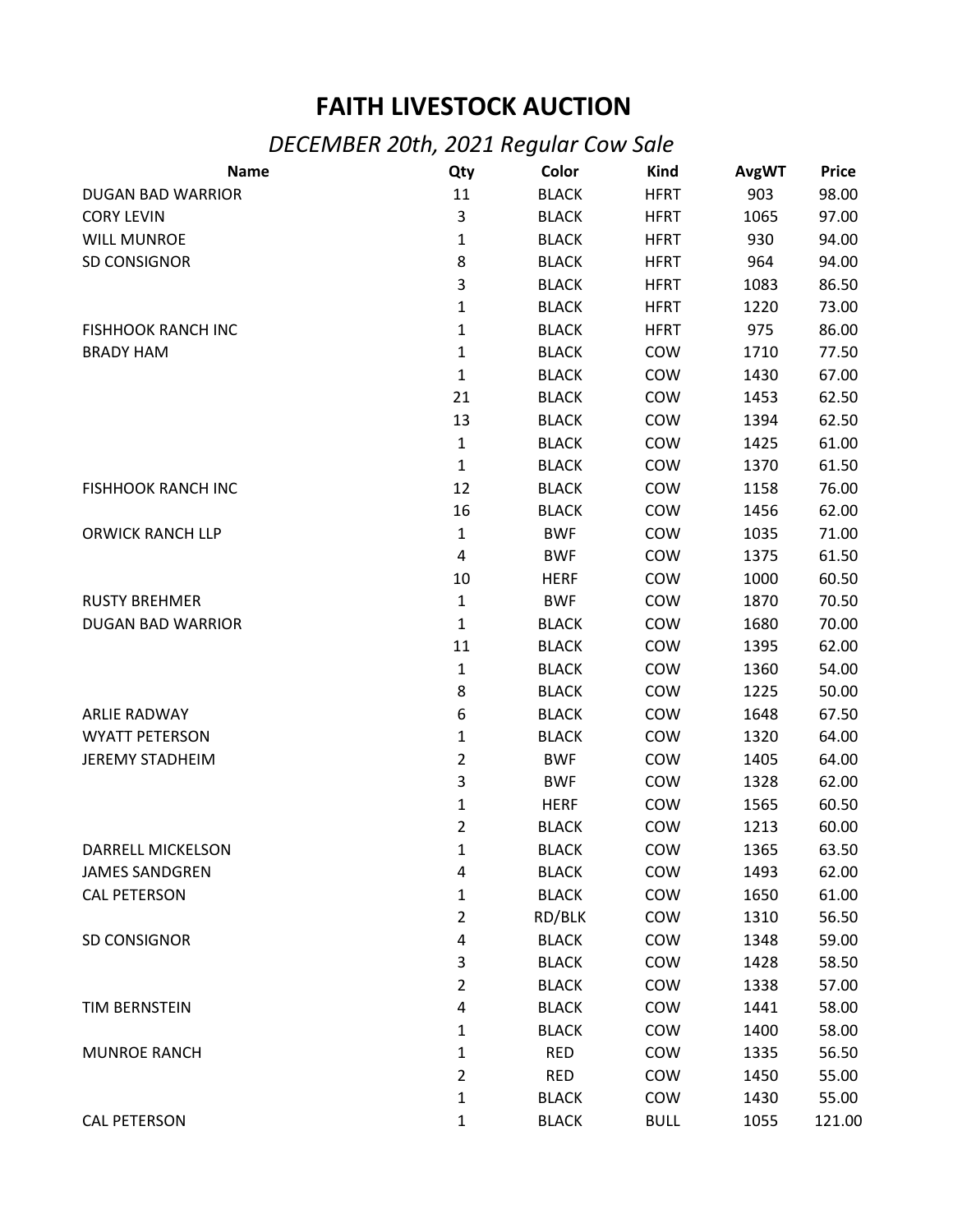## **FAITH LIVESTOCK AUCTION**

## *DECEMBER 20th, 2021 Regular Cow Sale*

| <b>Name</b>               | Qty            | Color        | <b>Kind</b> | <b>AvgWT</b> | <b>Price</b> |
|---------------------------|----------------|--------------|-------------|--------------|--------------|
| <b>DUGAN BAD WARRIOR</b>  | 11             | <b>BLACK</b> | <b>HFRT</b> | 903          | 98.00        |
| <b>CORY LEVIN</b>         | 3              | <b>BLACK</b> | <b>HFRT</b> | 1065         | 97.00        |
| <b>WILL MUNROE</b>        | 1              | <b>BLACK</b> | <b>HFRT</b> | 930          | 94.00        |
| SD CONSIGNOR              | 8              | <b>BLACK</b> | <b>HFRT</b> | 964          | 94.00        |
|                           | 3              | <b>BLACK</b> | <b>HFRT</b> | 1083         | 86.50        |
|                           | 1              | <b>BLACK</b> | <b>HFRT</b> | 1220         | 73.00        |
| <b>FISHHOOK RANCH INC</b> | 1              | <b>BLACK</b> | <b>HFRT</b> | 975          | 86.00        |
| <b>BRADY HAM</b>          | $\mathbf{1}$   | <b>BLACK</b> | COW         | 1710         | 77.50        |
|                           | 1              | <b>BLACK</b> | COW         | 1430         | 67.00        |
|                           | 21             | <b>BLACK</b> | COW         | 1453         | 62.50        |
|                           | 13             | <b>BLACK</b> | COW         | 1394         | 62.50        |
|                           | $\mathbf{1}$   | <b>BLACK</b> | COW         | 1425         | 61.00        |
|                           | $\mathbf{1}$   | <b>BLACK</b> | COW         | 1370         | 61.50        |
| <b>FISHHOOK RANCH INC</b> | 12             | <b>BLACK</b> | COW         | 1158         | 76.00        |
|                           | 16             | <b>BLACK</b> | COW         | 1456         | 62.00        |
| <b>ORWICK RANCH LLP</b>   | $\mathbf{1}$   | <b>BWF</b>   | COW         | 1035         | 71.00        |
|                           | 4              | <b>BWF</b>   | COW         | 1375         | 61.50        |
|                           | 10             | <b>HERF</b>  | COW         | 1000         | 60.50        |
| <b>RUSTY BREHMER</b>      | $\mathbf{1}$   | <b>BWF</b>   | COW         | 1870         | 70.50        |
| <b>DUGAN BAD WARRIOR</b>  | $\mathbf{1}$   | <b>BLACK</b> | COW         | 1680         | 70.00        |
|                           | 11             | <b>BLACK</b> | COW         | 1395         | 62.00        |
|                           | $\mathbf{1}$   | <b>BLACK</b> | COW         | 1360         | 54.00        |
|                           | 8              | <b>BLACK</b> | COW         | 1225         | 50.00        |
| <b>ARLIE RADWAY</b>       | 6              | <b>BLACK</b> | COW         | 1648         | 67.50        |
| <b>WYATT PETERSON</b>     | $\mathbf{1}$   | <b>BLACK</b> | COW         | 1320         | 64.00        |
| <b>JEREMY STADHEIM</b>    | $\overline{2}$ | <b>BWF</b>   | COW         | 1405         | 64.00        |
|                           | 3              | <b>BWF</b>   | COW         | 1328         | 62.00        |
|                           | 1              | <b>HERF</b>  | COW         | 1565         | 60.50        |
|                           | $\overline{2}$ | <b>BLACK</b> | COW         | 1213         | 60.00        |
| DARRELL MICKELSON         | 1              | <b>BLACK</b> | COW         | 1365         | 63.50        |
| <b>JAMES SANDGREN</b>     | 4              | <b>BLACK</b> | COW         | 1493         | 62.00        |
| <b>CAL PETERSON</b>       | 1              | <b>BLACK</b> | COW         | 1650         | 61.00        |
|                           | $\overline{2}$ | RD/BLK       | COW         | 1310         | 56.50        |
| SD CONSIGNOR              | $\pmb{4}$      | <b>BLACK</b> | COW         | 1348         | 59.00        |
|                           | 3              | <b>BLACK</b> | COW         | 1428         | 58.50        |
|                           | $\overline{2}$ | <b>BLACK</b> | COW         | 1338         | 57.00        |
| TIM BERNSTEIN             | 4              | <b>BLACK</b> | COW         | 1441         | 58.00        |
|                           | 1              | <b>BLACK</b> | COW         | 1400         | 58.00        |
| <b>MUNROE RANCH</b>       | 1              | <b>RED</b>   | COW         | 1335         | 56.50        |
|                           | $\overline{2}$ | <b>RED</b>   | COW         | 1450         | 55.00        |
|                           | 1              | <b>BLACK</b> | COW         | 1430         | 55.00        |
| <b>CAL PETERSON</b>       | 1              | <b>BLACK</b> | <b>BULL</b> | 1055         | 121.00       |